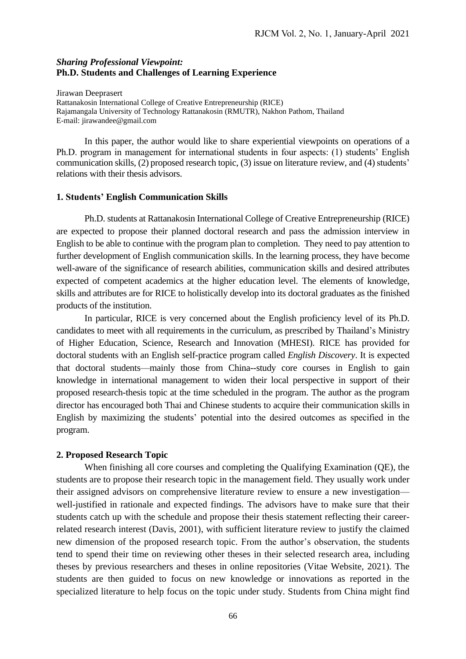### *Sharing Professional Viewpoint:* **Ph.D. Students and Challenges of Learning Experience**

Jirawan Deeprasert Rattanakosin International College of Creative Entrepreneurship (RICE) Rajamangala University of Technology Rattanakosin (RMUTR), Nakhon Pathom, Thailand E-mail: jirawandee@gmail.com

In this paper, the author would like to share experiential viewpoints on operations of a Ph.D. program in management for international students in four aspects: (1) students' English communication skills, (2) proposed research topic, (3) issue on literature review, and (4) students' relations with their thesis advisors.

## **1. Students' English Communication Skills**

Ph.D. students at Rattanakosin International College of Creative Entrepreneurship (RICE) are expected to propose their planned doctoral research and pass the admission interview in English to be able to continue with the program plan to completion. They need to pay attention to further development of English communication skills. In the learning process, they have become well-aware of the significance of research abilities, communication skills and desired attributes expected of competent academics at the higher education level. The elements of knowledge, skills and attributes are for RICE to holistically develop into its doctoral graduates as the finished products of the institution.

In particular, RICE is very concerned about the English proficiency level of its Ph.D. candidates to meet with all requirements in the curriculum, as prescribed by Thailand's Ministry of Higher Education, Science, Research and Innovation (MHESI). RICE has provided for doctoral students with an English self-practice program called *English Discovery*. It is expected that doctoral students—mainly those from China--study core courses in English to gain knowledge in international management to widen their local perspective in support of their proposed research-thesis topic at the time scheduled in the program. The author as the program director has encouraged both Thai and Chinese students to acquire their communication skills in English by maximizing the students' potential into the desired outcomes as specified in the program.

# **2. Proposed Research Topic**

When finishing all core courses and completing the Qualifying Examination (QE), the students are to propose their research topic in the management field. They usually work under their assigned advisors on comprehensive literature review to ensure a new investigation well-justified in rationale and expected findings. The advisors have to make sure that their students catch up with the schedule and propose their thesis statement reflecting their careerrelated research interest (Davis, 2001), with sufficient literature review to justify the claimed new dimension of the proposed research topic. From the author's observation, the students tend to spend their time on reviewing other theses in their selected research area, including theses by previous researchers and theses in online repositories (Vitae Website, 2021). The students are then guided to focus on new knowledge or innovations as reported in the specialized literature to help focus on the topic under study. Students from China might find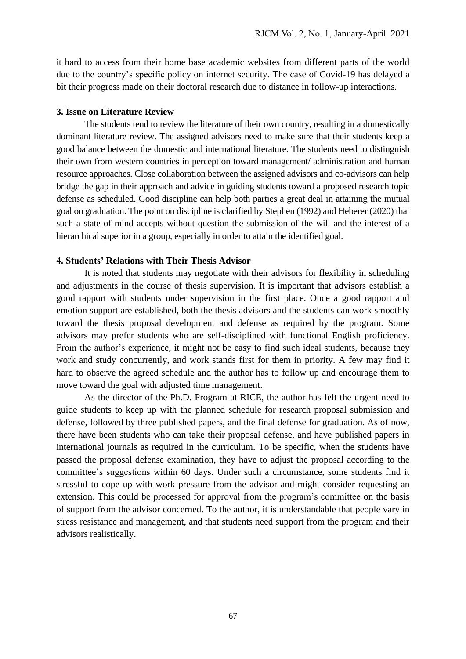it hard to access from their home base academic websites from different parts of the world due to the country's specific policy on internet security. The case of Covid-19 has delayed a bit their progress made on their doctoral research due to distance in follow-up interactions.

#### **3. Issue on Literature Review**

The students tend to review the literature of their own country, resulting in a domestically dominant literature review. The assigned advisors need to make sure that their students keep a good balance between the domestic and international literature. The students need to distinguish their own from western countries in perception toward management/ administration and human resource approaches. Close collaboration between the assigned advisors and co-advisors can help bridge the gap in their approach and advice in guiding students toward a proposed research topic defense as scheduled. Good discipline can help both parties a great deal in attaining the mutual goal on graduation. The point on discipline is clarified by Stephen (1992) and Heberer (2020) that such a state of mind accepts without question the submission of the will and the interest of a hierarchical superior in a group, especially in order to attain the identified goal.

# **4. Students' Relations with Their Thesis Advisor**

It is noted that students may negotiate with their advisors for flexibility in scheduling and adjustments in the course of thesis supervision. It is important that advisors establish a good rapport with students under supervision in the first place. Once a good rapport and emotion support are established, both the thesis advisors and the students can work smoothly toward the thesis proposal development and defense as required by the program. Some advisors may prefer students who are self-disciplined with functional English proficiency. From the author's experience, it might not be easy to find such ideal students, because they work and study concurrently, and work stands first for them in priority. A few may find it hard to observe the agreed schedule and the author has to follow up and encourage them to move toward the goal with adjusted time management.

As the director of the Ph.D. Program at RICE, the author has felt the urgent need to guide students to keep up with the planned schedule for research proposal submission and defense, followed by three published papers, and the final defense for graduation. As of now, there have been students who can take their proposal defense, and have published papers in international journals as required in the curriculum. To be specific, when the students have passed the proposal defense examination, they have to adjust the proposal according to the committee's suggestions within 60 days. Under such a circumstance, some students find it stressful to cope up with work pressure from the advisor and might consider requesting an extension. This could be processed for approval from the program's committee on the basis of support from the advisor concerned. To the author, it is understandable that people vary in stress resistance and management, and that students need support from the program and their advisors realistically.